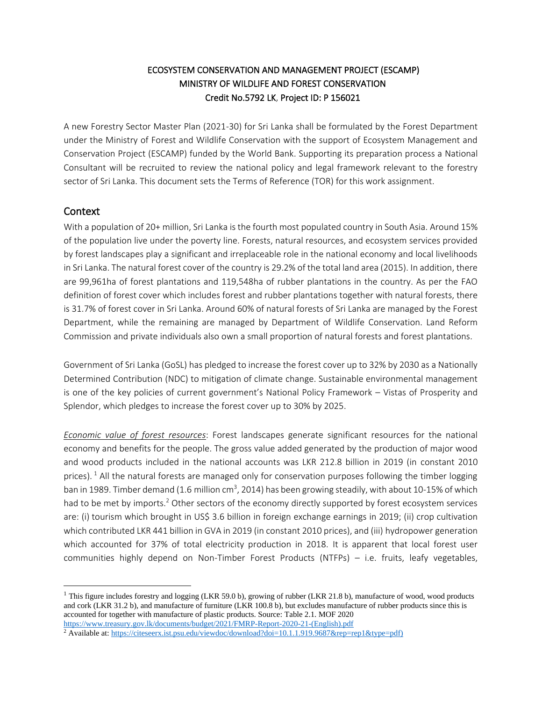## ECOSYSTEM CONSERVATION AND MANAGEMENT PROJECT (ESCAMP) MINISTRY OF WILDLIFE AND FOREST CONSERVATION Credit No.5792 LK, Project ID: P 156021

A new Forestry Sector Master Plan (2021-30) for Sri Lanka shall be formulated by the Forest Department under the Ministry of Forest and Wildlife Conservation with the support of Ecosystem Management and Conservation Project (ESCAMP) funded by the World Bank. Supporting its preparation process a National Consultant will be recruited to review the national policy and legal framework relevant to the forestry sector of Sri Lanka. This document sets the Terms of Reference (TOR) for this work assignment.

### Context

With a population of 20+ million, Sri Lanka is the fourth most populated country in South Asia. Around 15% of the population live under the poverty line. Forests, natural resources, and ecosystem services provided by forest landscapes play a significant and irreplaceable role in the national economy and local livelihoods in Sri Lanka. The natural forest cover of the country is 29.2% of the total land area (2015). In addition, there are 99,961ha of forest plantations and 119,548ha of rubber plantations in the country. As per the FAO definition of forest cover which includes forest and rubber plantations together with natural forests, there is 31.7% of forest cover in Sri Lanka. Around 60% of natural forests of Sri Lanka are managed by the Forest Department, while the remaining are managed by Department of Wildlife Conservation. Land Reform Commission and private individuals also own a small proportion of natural forests and forest plantations.

Government of Sri Lanka (GoSL) has pledged to increase the forest cover up to 32% by 2030 as a Nationally Determined Contribution (NDC) to mitigation of climate change. Sustainable environmental management is one of the key policies of current government's National Policy Framework – Vistas of Prosperity and Splendor, which pledges to increase the forest cover up to 30% by 2025.

*Economic value of forest resources*: Forest landscapes generate significant resources for the national economy and benefits for the people. The gross value added generated by the production of major wood and wood products included in the national accounts was LKR 212.8 billion in 2019 (in constant 2010 prices).  $1$  All the natural forests are managed only for conservation purposes following the timber logging ban in 1989. Timber demand (1.6 million cm<sup>3</sup>, 2014) has been growing steadily, with about 10-15% of which had to be met by imports.<sup>2</sup> Other sectors of the economy directly supported by forest ecosystem services are: (i) tourism which brought in US\$ 3.6 billion in foreign exchange earnings in 2019; (ii) crop cultivation which contributed LKR 441 billion in GVA in 2019 (in constant 2010 prices), and (iii) hydropower generation which accounted for 37% of total electricity production in 2018. It is apparent that local forest user communities highly depend on Non-Timber Forest Products (NTFPs) – i.e. fruits, leafy vegetables,

<sup>&</sup>lt;sup>1</sup> This figure includes forestry and logging (LKR 59.0 b), growing of rubber (LKR 21.8 b), manufacture of wood, wood products and cork (LKR 31.2 b), and manufacture of furniture (LKR 100.8 b), but excludes manufacture of rubber products since this is accounted for together with manufacture of plastic products. Source: Table 2.1. MOF 2020 [https://www.treasury.gov.lk/documents/budget/2021/FMRP-Report-2020-21-\(English\).pdf](https://www.treasury.gov.lk/documents/budget/2021/FMRP-Report-2020-21-(English).pdf)

<sup>&</sup>lt;sup>2</sup> Available at[: https://citeseerx.ist.psu.edu/viewdoc/download?doi=10.1.1.919.9687&rep=rep1&type=pdf\)](https://citeseerx.ist.psu.edu/viewdoc/download?doi=10.1.1.919.9687&rep=rep1&type=pdf))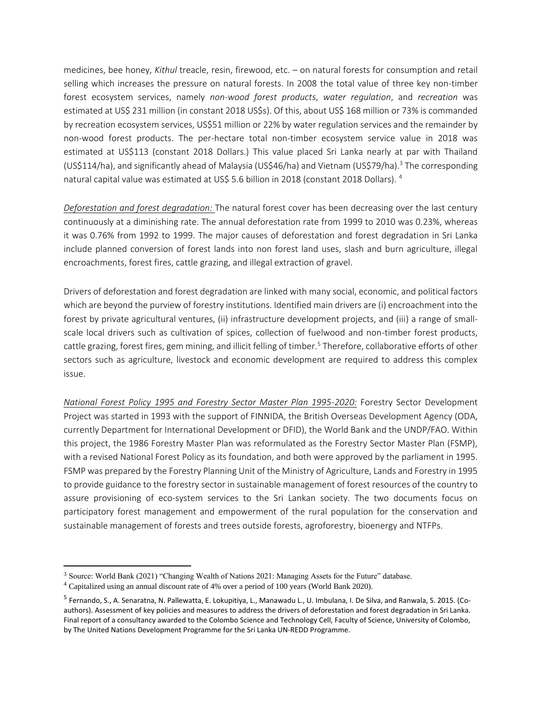medicines, bee honey, *Kithul* treacle, resin, firewood, etc. – on natural forests for consumption and retail selling which increases the pressure on natural forests. In 2008 the total value of three key non-timber forest ecosystem services, namely *non-wood forest products*, *water regulation*, and *recreation* was estimated at US\$ 231 million (in constant 2018 US\$s). Of this, about US\$ 168 million or 73% is commanded by recreation ecosystem services, US\$51 million or 22% by water regulation services and the remainder by non-wood forest products. The per-hectare total non-timber ecosystem service value in 2018 was estimated at US\$113 (constant 2018 Dollars.) This value placed Sri Lanka nearly at par with Thailand (US\$114/ha), and significantly ahead of Malaysia (US\$46/ha) and Vietnam (US\$79/ha).<sup>3</sup> The corresponding natural capital value was estimated at US\$ 5.6 billion in 2018 (constant 2018 Dollars). <sup>4</sup>

*Deforestation and forest degradation:* The natural forest cover has been decreasing over the last century continuously at a diminishing rate. The annual deforestation rate from 1999 to 2010 was 0.23%, whereas it was 0.76% from 1992 to 1999. The major causes of deforestation and forest degradation in Sri Lanka include planned conversion of forest lands into non forest land uses, slash and burn agriculture, illegal encroachments, forest fires, cattle grazing, and illegal extraction of gravel.

Drivers of deforestation and forest degradation are linked with many social, economic, and political factors which are beyond the purview of forestry institutions. Identified main drivers are (i) encroachment into the forest by private agricultural ventures, (ii) infrastructure development projects, and (iii) a range of smallscale local drivers such as cultivation of spices, collection of fuelwood and non-timber forest products, cattle grazing, forest fires, gem mining, and illicit felling of timber.<sup>5</sup> Therefore, collaborative efforts of other sectors such as agriculture, livestock and economic development are required to address this complex issue.

*National Forest Policy 1995 and Forestry Sector Master Plan 1995-2020:* Forestry Sector Development Project was started in 1993 with the support of FINNIDA, the British Overseas Development Agency (ODA, currently Department for International Development or DFID), the World Bank and the UNDP/FAO. Within this project, the 1986 Forestry Master Plan was reformulated as the Forestry Sector Master Plan (FSMP), with a revised National Forest Policy as its foundation, and both were approved by the parliament in 1995. FSMP was prepared by the Forestry Planning Unit of the Ministry of Agriculture, Lands and Forestry in 1995 to provide guidance to the forestry sector in sustainable management of forest resources of the country to assure provisioning of eco-system services to the Sri Lankan society. The two documents focus on participatory forest management and empowerment of the rural population for the conservation and sustainable management of forests and trees outside forests, agroforestry, bioenergy and NTFPs.

<sup>3</sup> Source: World Bank (2021) "Changing Wealth of Nations 2021: Managing Assets for the Future" database.

<sup>4</sup> Capitalized using an annual discount rate of 4% over a period of 100 years (World Bank 2020).

<sup>&</sup>lt;sup>5</sup> Fernando, S., A. Senaratna, N. Pallewatta, E. Lokupitiya, L., Manawadu L., U. Imbulana, I. De Silva, and Ranwala, S. 2015. (Coauthors). Assessment of key policies and measures to address the drivers of deforestation and forest degradation in Sri Lanka. Final report of a consultancy awarded to the Colombo Science and Technology Cell, Faculty of Science, University of Colombo, by The United Nations Development Programme for the Sri Lanka UN-REDD Programme.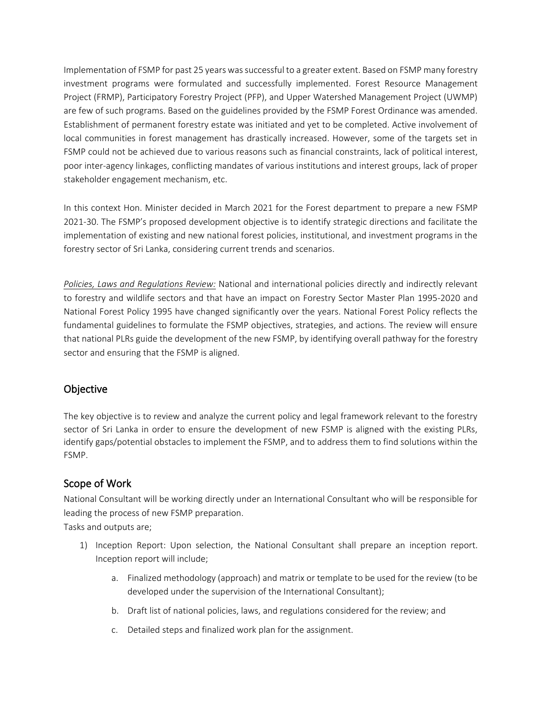Implementation of FSMP for past 25 years was successful to a greater extent. Based on FSMP many forestry investment programs were formulated and successfully implemented. Forest Resource Management Project (FRMP), Participatory Forestry Project (PFP), and Upper Watershed Management Project (UWMP) are few of such programs. Based on the guidelines provided by the FSMP Forest Ordinance was amended. Establishment of permanent forestry estate was initiated and yet to be completed. Active involvement of local communities in forest management has drastically increased. However, some of the targets set in FSMP could not be achieved due to various reasons such as financial constraints, lack of political interest, poor inter-agency linkages, conflicting mandates of various institutions and interest groups, lack of proper stakeholder engagement mechanism, etc.

In this context Hon. Minister decided in March 2021 for the Forest department to prepare a new FSMP 2021-30. The FSMP's proposed development objective is to identify strategic directions and facilitate the implementation of existing and new national forest policies, institutional, and investment programs in the forestry sector of Sri Lanka, considering current trends and scenarios.

*Policies, Laws and Regulations Review:* National and international policies directly and indirectly relevant to forestry and wildlife sectors and that have an impact on Forestry Sector Master Plan 1995-2020 and National Forest Policy 1995 have changed significantly over the years. National Forest Policy reflects the fundamental guidelines to formulate the FSMP objectives, strategies, and actions. The review will ensure that national PLRs guide the development of the new FSMP, by identifying overall pathway for the forestry sector and ensuring that the FSMP is aligned.

## Objective

The key objective is to review and analyze the current policy and legal framework relevant to the forestry sector of Sri Lanka in order to ensure the development of new FSMP is aligned with the existing PLRs, identify gaps/potential obstacles to implement the FSMP, and to address them to find solutions within the FSMP.

## Scope of Work

National Consultant will be working directly under an International Consultant who will be responsible for leading the process of new FSMP preparation.

Tasks and outputs are;

- 1) Inception Report: Upon selection, the National Consultant shall prepare an inception report. Inception report will include;
	- a. Finalized methodology (approach) and matrix or template to be used for the review (to be developed under the supervision of the International Consultant);
	- b. Draft list of national policies, laws, and regulations considered for the review; and
	- c. Detailed steps and finalized work plan for the assignment.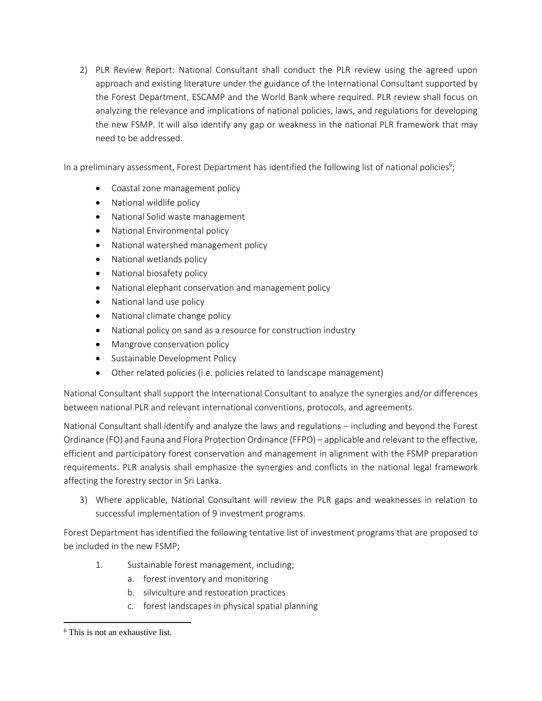2) PLR Review Report: National Consultant shall conduct the PLR review using the agreed upon approach and existing literature under the guidance of the International Consultant supported by the Forest Department, ESCAMP and the World Bank where required. PLR review shall focus on analyzing the relevance and implications of national policies, laws, and regulations for developing the new FSMP. It will also identify any gap or weakness in the national PLR framework that may need to be addressed.

In a preliminary assessment, Forest Department has identified the following list of national policies<sup>6</sup>;

- Coastal zone management policy
- National wildlife policy
- National Solid waste management
- National Environmental policy
- National watershed management policy
- National wetlands policy
- National biosafety policy
- National elephant conservation and management policy
- National land use policy
- National climate change policy
- National policy on sand as a resource for construction industry
- Mangrove conservation policy
- Sustainable Development Policy
- Other related policies (i.e. policies related to landscape management)

National Consultant shall support the International Consultant to analyze the synergies and/or differences between national PLR and relevant international conventions, protocols, and agreements.

National Consultant shall identify and analyze the laws and regulations – including and beyond the Forest Ordinance (FO) and Fauna and Flora Protection Ordinance (FFPO) – applicable and relevant to the effective, efficient and participatory forest conservation and management in alignment with the FSMP preparation requirements. PLR analysis shall emphasize the synergies and conflicts in the national legal framework affecting the forestry sector in Sri Lanka.

3) Where applicable, National Consultant will review the PLR gaps and weaknesses in relation to successful implementation of 9 investment programs.

Forest Department has identified the following tentative list of investment programs that are proposed to be included in the new FSMP;

- 1. Sustainable forest management, including;
	- a. forest inventory and monitoring
	- b. silviculture and restoration practices
	- c. forest landscapes in physical spatial planning

<sup>6</sup> This is not an exhaustive list.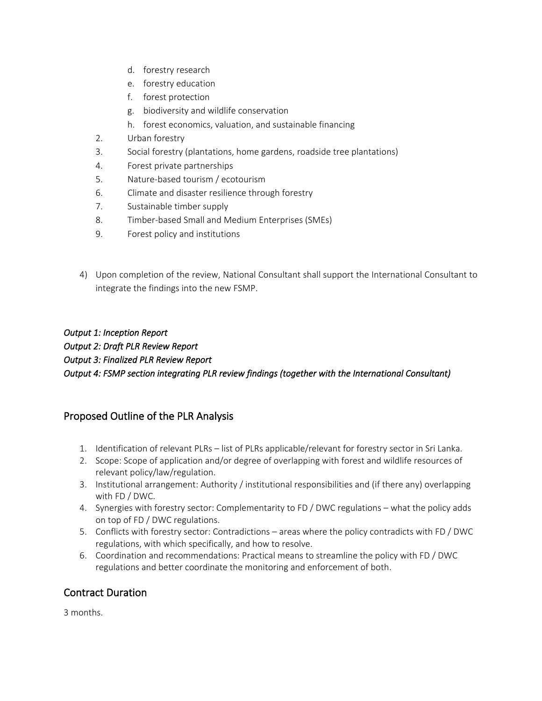- d. forestry research
- e. forestry education
- f. forest protection
- g. biodiversity and wildlife conservation
- h. forest economics, valuation, and sustainable financing
- 2. Urban forestry
- 3. Social forestry (plantations, home gardens, roadside tree plantations)
- 4. Forest private partnerships
- 5. Nature-based tourism / ecotourism
- 6. Climate and disaster resilience through forestry
- 7. Sustainable timber supply
- 8. Timber-based Small and Medium Enterprises (SMEs)
- 9. Forest policy and institutions
- 4) Upon completion of the review, National Consultant shall support the International Consultant to integrate the findings into the new FSMP.

### *Output 1: Inception Report Output 2: Draft PLR Review Report Output 3: Finalized PLR Review Report Output 4: FSMP section integrating PLR review findings (together with the International Consultant)*

# Proposed Outline of the PLR Analysis

- 1. Identification of relevant PLRs list of PLRs applicable/relevant for forestry sector in Sri Lanka.
- 2. Scope: Scope of application and/or degree of overlapping with forest and wildlife resources of relevant policy/law/regulation.
- 3. Institutional arrangement: Authority / institutional responsibilities and (if there any) overlapping with FD / DWC.
- 4. Synergies with forestry sector: Complementarity to FD / DWC regulations what the policy adds on top of FD / DWC regulations.
- 5. Conflicts with forestry sector: Contradictions areas where the policy contradicts with FD / DWC regulations, with which specifically, and how to resolve.
- 6. Coordination and recommendations: Practical means to streamline the policy with FD / DWC regulations and better coordinate the monitoring and enforcement of both.

# Contract Duration

3 months.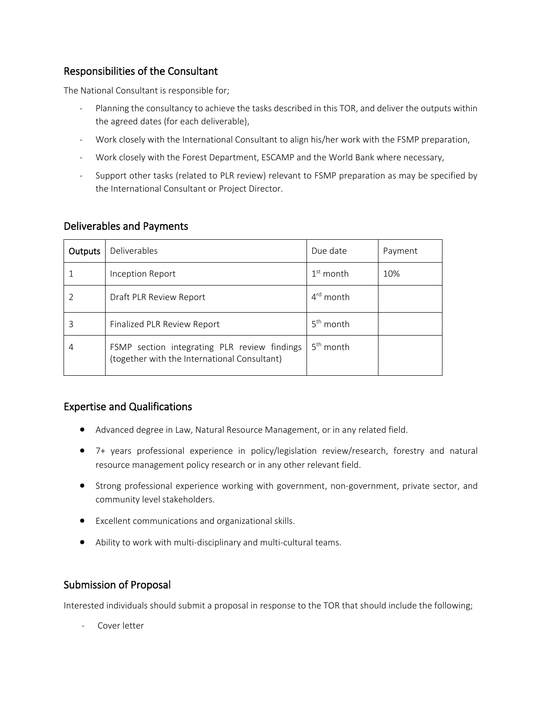## Responsibilities of the Consultant

The National Consultant is responsible for;

- Planning the consultancy to achieve the tasks described in this TOR, and deliver the outputs within the agreed dates (for each deliverable),
- Work closely with the International Consultant to align his/her work with the FSMP preparation,
- Work closely with the Forest Department, ESCAMP and the World Bank where necessary,
- Support other tasks (related to PLR review) relevant to FSMP preparation as may be specified by the International Consultant or Project Director.

| <b>Outputs</b> | Deliverables                                                                                 | Due date              | Payment |
|----------------|----------------------------------------------------------------------------------------------|-----------------------|---------|
|                | Inception Report                                                                             | $1st$ month           | 10%     |
|                | Draft PLR Review Report                                                                      | 4 <sup>rd</sup> month |         |
| 3              | Finalized PLR Review Report                                                                  | $5th$ month           |         |
| 4              | FSMP section integrating PLR review findings<br>(together with the International Consultant) | $5th$ month           |         |

#### Deliverables and Payments

### Expertise and Qualifications

- Advanced degree in Law, Natural Resource Management, or in any related field.
- 7+ years professional experience in policy/legislation review/research, forestry and natural resource management policy research or in any other relevant field.
- Strong professional experience working with government, non-government, private sector, and community level stakeholders.
- Excellent communications and organizational skills.
- Ability to work with multi-disciplinary and multi-cultural teams.

### Submission of Proposal

Interested individuals should submit a proposal in response to the TOR that should include the following;

Cover letter